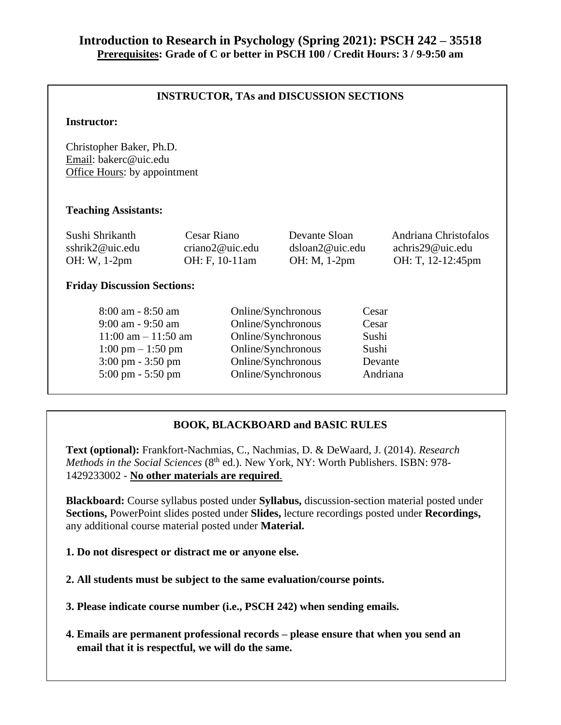### **INSTRUCTOR, TAs and DISCUSSION SECTIONS**

### **Instructor:**

Christopher Baker, Ph.D. Email: bakerc@uic.edu Office Hours: by appointment

### **Teaching Assistants:**

| Sushi Shrikanth | Cesar Riano     | Devante Sloan          | Andriana Christofalos |
|-----------------|-----------------|------------------------|-----------------------|
| sshrik2@uic.edu | criano2@uic.edu | $ds$ loan $2@$ uic.edu | achris29@uic.edu      |
| $OH: W, 1-2pm$  | OH: F, 10-11am  | OH: M, 1-2pm           | OH: T, 12-12:45pm     |

### **Friday Discussion Sections:**

| $8:00$ am - $8:50$ am               | Online/Synchronous | Cesar    |
|-------------------------------------|--------------------|----------|
| 9:00 am - 9:50 am                   | Online/Synchronous | Cesar    |
| $11:00$ am $-11:50$ am              | Online/Synchronous | Sushi    |
| $1:00 \text{ pm} - 1:50 \text{ pm}$ | Online/Synchronous | Sushi    |
| $3:00 \text{ pm} - 3:50 \text{ pm}$ | Online/Synchronous | Devante  |
| $5:00 \text{ pm} - 5:50 \text{ pm}$ | Online/Synchronous | Andriana |
|                                     |                    |          |

### **BOOK, BLACKBOARD and BASIC RULES**

**Text (optional):** Frankfort-Nachmias, C., Nachmias, D. & DeWaard, J. (2014). *Research Methods in the Social Sciences* (8<sup>th</sup> ed.). New York, NY: Worth Publishers. ISBN: 978-1429233002 - **No other materials are required**.

**Blackboard:** Course syllabus posted under **Syllabus,** discussion-section material posted under **Sections,** PowerPoint slides posted under **Slides,** lecture recordings posted under **Recordings,**  any additional course material posted under **Material.** 

**1. Do not disrespect or distract me or anyone else.** 

**2. All students must be subject to the same evaluation/course points.**

**3. Please indicate course number (i.e., PSCH 242) when sending emails.**

**4. Emails are permanent professional records – please ensure that when you send an email that it is respectful, we will do the same.**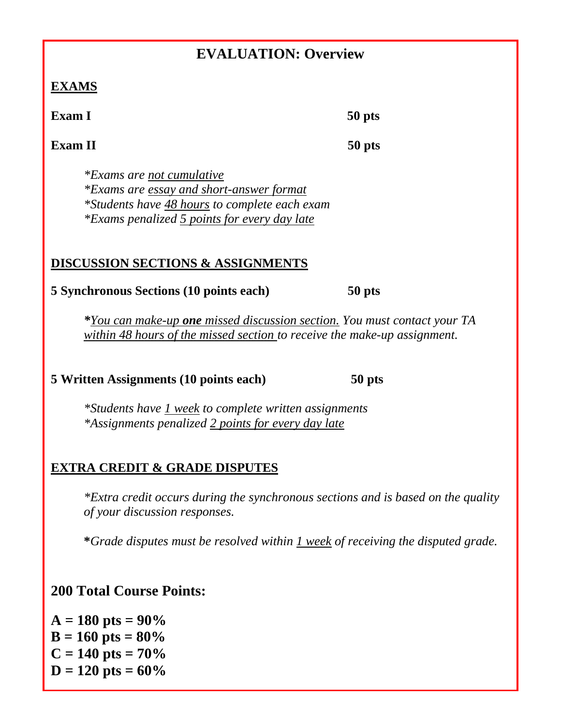# **EVALUATION: Overview**

## **EXAMS**

**Exam I** 50 **pts** 

**Exam II** 50 pts

*\*Exams are not cumulative \*Exams are essay and short-answer format \*Students have 48 hours to complete each exam \*Exams penalized 5 points for every day late*

## **DISCUSSION SECTIONS & ASSIGNMENTS**

### **5 Synchronous Sections (10 points each) 50 pts**

*\*You can make-up one missed discussion section. You must contact your TA within 48 hours of the missed section to receive the make-up assignment.*

## **5 Written Assignments (10 points each) 50 pts**

*\*Students have 1 week to complete written assignments \*Assignments penalized 2 points for every day late*

# **EXTRA CREDIT & GRADE DISPUTES**

*\*Extra credit occurs during the synchronous sections and is based on the quality of your discussion responses.*

**\****Grade disputes must be resolved within 1 week of receiving the disputed grade.*

# **200 Total Course Points:**

 $A = 180$  pts =  $90\%$  $B = 160$  pts =  $80\%$  $C = 140$  pts =  $70\%$  $D = 120$  pts =  $60\%$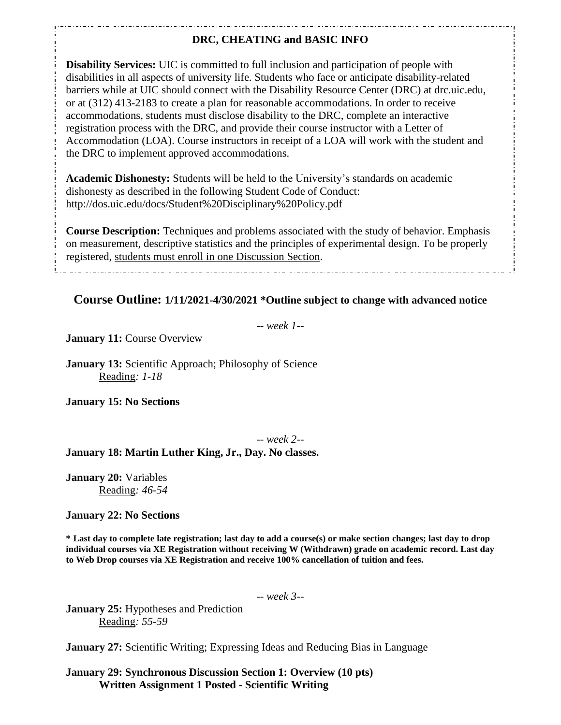### **DRC, CHEATING and BASIC INFO**

**Disability Services:** UIC is committed to full inclusion and participation of people with disabilities in all aspects of university life. Students who face or anticipate disability-related barriers while at UIC should connect with the Disability Resource Center (DRC) at drc.uic.edu, or at (312) 413-2183 to create a plan for reasonable accommodations. In order to receive accommodations, students must disclose disability to the DRC, complete an interactive registration process with the DRC, and provide their course instructor with a Letter of Accommodation (LOA). Course instructors in receipt of a LOA will work with the student and the DRC to implement approved accommodations.

**Academic Dishonesty:** Students will be held to the University's standards on academic dishonesty as described in the following Student Code of Conduct: http://dos.uic.edu/docs/Student%20Disciplinary%20Policy.pdf

**Course Description:** Techniques and problems associated with the study of behavior. Emphasis on measurement, descriptive statistics and the principles of experimental design. To be properly registered, students must enroll in one Discussion Section.

### **Course Outline: 1/11/2021-4/30/2021 \*Outline subject to change with advanced notice**

-- *week 1--*

**January 11: Course Overview** 

**January 13:** Scientific Approach; Philosophy of Science Reading*: 1-18*

**January 15: No Sections**

-- *week 2--*

### **January 18: Martin Luther King, Jr., Day. No classes.**

**January 20:** Variables Reading*: 46-54*

#### **January 22: No Sections**

**\* Last day to complete late registration; last day to add a course(s) or make section changes; last day to drop individual courses via XE Registration without receiving W (Withdrawn) grade on academic record. Last day to Web Drop courses via XE Registration and receive 100% cancellation of tuition and fees.**

-- *week 3--*

**January 25:** Hypotheses and Prediction Reading*: 55-59*

**January 27:** Scientific Writing; Expressing Ideas and Reducing Bias in Language

**January 29: Synchronous Discussion Section 1: Overview (10 pts) Written Assignment 1 Posted - Scientific Writing**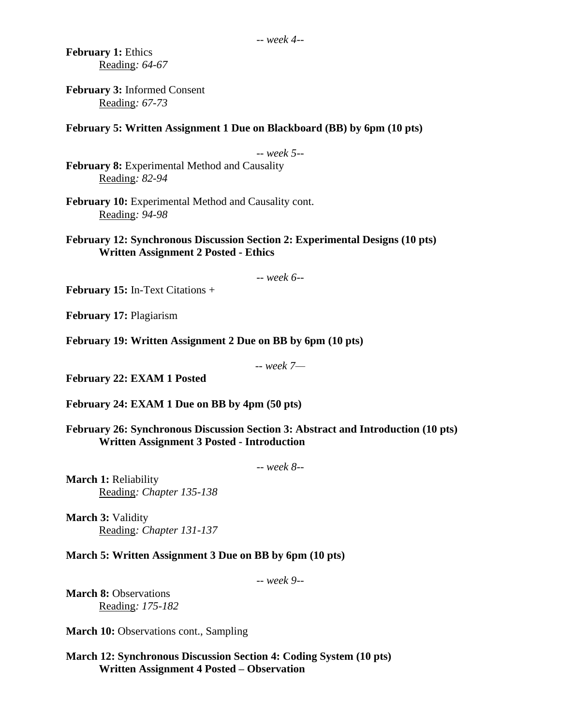**February 1:** Ethics Reading*: 64-67*

**February 3:** Informed Consent Reading*: 67-73*

**February 5: Written Assignment 1 Due on Blackboard (BB) by 6pm (10 pts)**

-- *week 5--*

**February 8:** Experimental Method and Causality Reading*: 82-94*

**February 10:** Experimental Method and Causality cont. Reading*: 94-98*

**February 12: Synchronous Discussion Section 2: Experimental Designs (10 pts) Written Assignment 2 Posted - Ethics**

-- *week 6--*

**February 15:** In-Text Citations +

**February 17:** Plagiarism

**February 19: Written Assignment 2 Due on BB by 6pm (10 pts)**

-- *week 7—*

**February 22: EXAM 1 Posted**

**February 24: EXAM 1 Due on BB by 4pm (50 pts)**

**February 26: Synchronous Discussion Section 3: Abstract and Introduction (10 pts) Written Assignment 3 Posted - Introduction**

-- *week 8--*

**March 1:** Reliability Reading*: Chapter 135-138*

**March 3:** Validity Reading*: Chapter 131-137*

**March 5: Written Assignment 3 Due on BB by 6pm (10 pts)**

-- *week 9--*

**March 8:** Observations Reading*: 175-182*

**March 10:** Observations cont., Sampling

**March 12: Synchronous Discussion Section 4: Coding System (10 pts) Written Assignment 4 Posted – Observation**